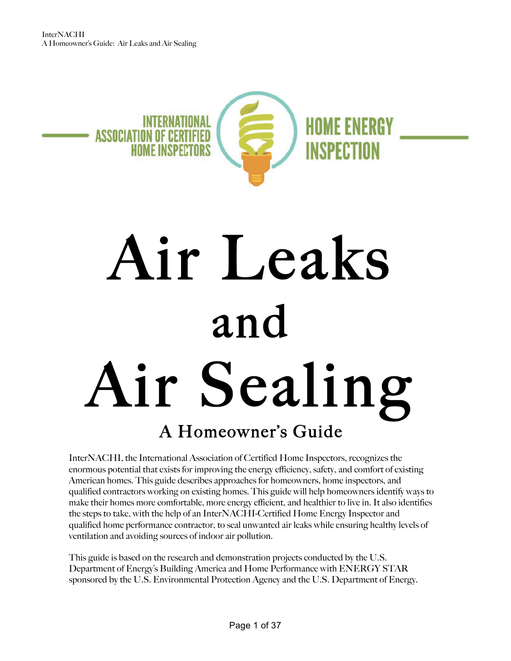

## Air Leaks and Air Sealing A Homeowner's Guide

InterNACHI, the International Association of Certified Home Inspectors, recognizes the enormous potential that exists for improving the energy efficiency, safety, and comfort of existing American homes. This guide describes approaches for homeowners, home inspectors, and qualified contractors working on existing homes. This guide will help homeowners identify ways to make their homes more comfortable, more energy efficient, and healthier to live in. It also identifies the steps to take, with the help of an InterNACHI-Certified Home Energy Inspector and qualified home performance contractor, to seal unwanted air leaks while ensuring healthy levels of ventilation and avoiding sources of indoor air pollution.

This guide is based on the research and demonstration projects conducted by the U.S. Department of Energy's Building America and Home Performance with ENERGY STAR sponsored by the U.S. Environmental Protection Agency and the U.S. Department of Energy.